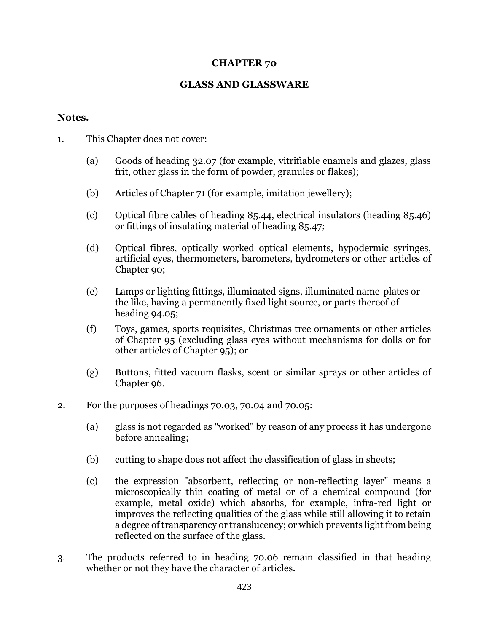## **CHAPTER 70**

## **GLASS AND GLASSWARE**

## **Notes.**

- 1. This Chapter does not cover:
	- (a) Goods of heading 32.07 (for example, vitrifiable enamels and glazes, glass frit, other glass in the form of powder, granules or flakes);
	- (b) Articles of Chapter 71 (for example, imitation jewellery);
	- (c) Optical fibre cables of heading 85.44, electrical insulators (heading 85.46) or fittings of insulating material of heading 85.47;
	- (d) Optical fibres, optically worked optical elements, hypodermic syringes, artificial eyes, thermometers, barometers, hydrometers or other articles of Chapter 90;
	- (e) Lamps or lighting fittings, illuminated signs, illuminated name-plates or the like, having a permanently fixed light source, or parts thereof of heading 94.05;
	- (f) Toys, games, sports requisites, Christmas tree ornaments or other articles of Chapter 95 (excluding glass eyes without mechanisms for dolls or for other articles of Chapter 95); or
	- (g) Buttons, fitted vacuum flasks, scent or similar sprays or other articles of Chapter 96.
- 2. For the purposes of headings 70.03, 70.04 and 70.05:
	- (a) glass is not regarded as "worked" by reason of any process it has undergone before annealing;
	- (b) cutting to shape does not affect the classification of glass in sheets;
	- (c) the expression "absorbent, reflecting or non-reflecting layer" means a microscopically thin coating of metal or of a chemical compound (for example, metal oxide) which absorbs, for example, infra-red light or improves the reflecting qualities of the glass while still allowing it to retain a degree of transparency or translucency; or which prevents light from being reflected on the surface of the glass.
- 3. The products referred to in heading 70.06 remain classified in that heading whether or not they have the character of articles.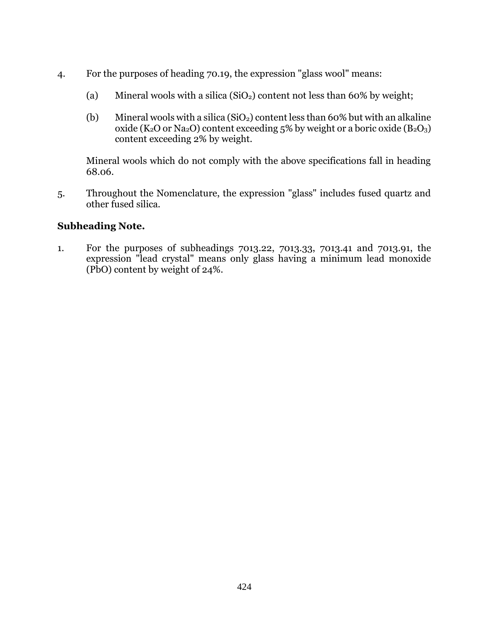- 4. For the purposes of heading 70.19, the expression "glass wool" means:
	- (a) Mineral wools with a silica  $(SiO<sub>2</sub>)$  content not less than 60% by weight;
	- (b) Mineral wools with a silica  $(SiO<sub>2</sub>)$  content less than 60% but with an alkaline oxide ( $K_2O$  or  $Na_2O$ ) content exceeding 5% by weight or a boric oxide ( $B_2O_3$ ) content exceeding 2% by weight.

Mineral wools which do not comply with the above specifications fall in heading 68.06.

5. Throughout the Nomenclature, the expression "glass" includes fused quartz and other fused silica.

## **Subheading Note.**

1. For the purposes of subheadings 7013.22, 7013.33, 7013.41 and 7013.91, the expression "lead crystal" means only glass having a minimum lead monoxide (PbO) content by weight of 24%.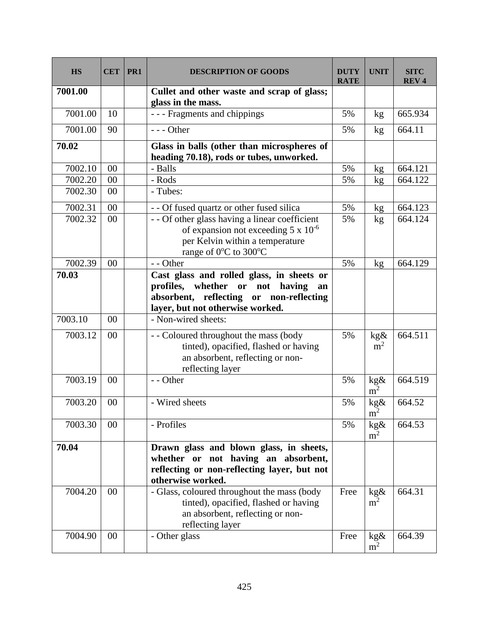| <b>HS</b> | <b>CET</b> | PR <sub>1</sub> | <b>DESCRIPTION OF GOODS</b>                                                                                                                                       | <b>DUTY</b><br><b>RATE</b> | <b>UNIT</b>                      | <b>SITC</b><br><b>REV4</b> |
|-----------|------------|-----------------|-------------------------------------------------------------------------------------------------------------------------------------------------------------------|----------------------------|----------------------------------|----------------------------|
| 7001.00   |            |                 | Cullet and other waste and scrap of glass;<br>glass in the mass.                                                                                                  |                            |                                  |                            |
| 7001.00   | 10         |                 | - - - Fragments and chippings                                                                                                                                     | 5%                         | kg                               | 665.934                    |
| 7001.00   | 90         |                 | $--$ Other                                                                                                                                                        | 5%                         | kg                               | 664.11                     |
| 70.02     |            |                 | Glass in balls (other than microspheres of<br>heading 70.18), rods or tubes, unworked.                                                                            |                            |                                  |                            |
| 7002.10   | 00         |                 | - Balls                                                                                                                                                           | 5%                         | kg                               | 664.121                    |
| 7002.20   | 00         |                 | - Rods                                                                                                                                                            | 5%                         | kg                               | 664.122                    |
| 7002.30   | 00         |                 | - Tubes:                                                                                                                                                          |                            |                                  |                            |
| 7002.31   | 00         |                 | - - Of fused quartz or other fused silica                                                                                                                         | 5%                         | kg                               | 664.123                    |
| 7002.32   | 00         |                 | - - Of other glass having a linear coefficient<br>of expansion not exceeding $5 \times 10^{-6}$<br>per Kelvin within a temperature<br>range of 0°C to 300°C       | 5%                         | kg                               | 664.124                    |
| 7002.39   | 00         |                 | - - Other                                                                                                                                                         | 5%                         | kg                               | 664.129                    |
| 70.03     |            |                 | Cast glass and rolled glass, in sheets or<br>profiles, whether or not having<br>an<br>absorbent, reflecting or non-reflecting<br>layer, but not otherwise worked. |                            |                                  |                            |
| 7003.10   | 00         |                 | - Non-wired sheets:                                                                                                                                               |                            |                                  |                            |
| 7003.12   | 00         |                 | - - Coloured throughout the mass (body<br>tinted), opacified, flashed or having<br>an absorbent, reflecting or non-<br>reflecting layer                           | 5%                         | kg&<br>m <sup>2</sup>            | 664.511                    |
| 7003.19   | 00         |                 | - - Other                                                                                                                                                         | 5%                         | $\frac{\text{kg}\&\text{m}^2}{}$ | 664.519                    |
| 7003.20   | 00         |                 | - Wired sheets                                                                                                                                                    | 5%                         | kg&<br>$\overline{m}^2$          | 664.52                     |
| 7003.30   | 00         |                 | - Profiles                                                                                                                                                        | 5%                         | kg&<br>m <sup>2</sup>            | 664.53                     |
| 70.04     |            |                 | Drawn glass and blown glass, in sheets,<br>whether or not having an absorbent,<br>reflecting or non-reflecting layer, but not<br>otherwise worked.                |                            |                                  |                            |
| 7004.20   | 00         |                 | - Glass, coloured throughout the mass (body<br>tinted), opacified, flashed or having<br>an absorbent, reflecting or non-<br>reflecting layer                      | Free                       | kg&<br>m <sup>2</sup>            | 664.31                     |
| 7004.90   | 00         |                 | - Other glass                                                                                                                                                     | Free                       | kg&<br>m <sup>2</sup>            | 664.39                     |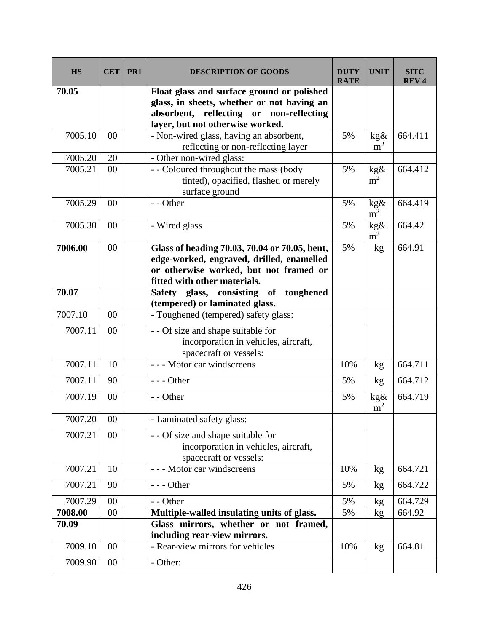| <b>HS</b> | <b>CET</b> | PR <sub>1</sub> | <b>DESCRIPTION OF GOODS</b>                                                                          | <b>DUTY</b><br><b>RATE</b> | <b>UNIT</b>                   | SITC<br><b>REV<sub>4</sub></b> |
|-----------|------------|-----------------|------------------------------------------------------------------------------------------------------|----------------------------|-------------------------------|--------------------------------|
| 70.05     |            |                 | Float glass and surface ground or polished                                                           |                            |                               |                                |
|           |            |                 | glass, in sheets, whether or not having an                                                           |                            |                               |                                |
|           |            |                 | absorbent, reflecting or non-reflecting                                                              |                            |                               |                                |
|           |            |                 | layer, but not otherwise worked.                                                                     |                            |                               |                                |
| 7005.10   | 00         |                 | - Non-wired glass, having an absorbent,<br>reflecting or non-reflecting layer                        | 5%                         | kg&<br>m <sup>2</sup>         | 664.411                        |
| 7005.20   | 20         |                 | - Other non-wired glass:                                                                             |                            |                               |                                |
| 7005.21   | 00         |                 | - - Coloured throughout the mass (body                                                               | 5%                         | kg&                           | 664.412                        |
|           |            |                 | tinted), opacified, flashed or merely<br>surface ground                                              |                            | m <sup>2</sup>                |                                |
| 7005.29   | 00         |                 | - - Other                                                                                            | 5%                         | $\underset{m^2}{\text{kg}\&}$ | 664.419                        |
| 7005.30   | 00         |                 | - Wired glass                                                                                        | 5%                         | kg&                           | 664.42                         |
|           |            |                 |                                                                                                      |                            | m <sup>2</sup>                |                                |
| 7006.00   | 00         |                 | Glass of heading 70.03, 70.04 or 70.05, bent,                                                        | 5%                         | kg                            | 664.91                         |
|           |            |                 | edge-worked, engraved, drilled, enamelled                                                            |                            |                               |                                |
|           |            |                 | or otherwise worked, but not framed or                                                               |                            |                               |                                |
|           |            |                 | fitted with other materials.                                                                         |                            |                               |                                |
| 70.07     |            |                 | Safety glass, consisting of toughened                                                                |                            |                               |                                |
| 7007.10   | 00         |                 | (tempered) or laminated glass.<br>- Toughened (tempered) safety glass:                               |                            |                               |                                |
|           |            |                 |                                                                                                      |                            |                               |                                |
| 7007.11   | 00         |                 | - - Of size and shape suitable for                                                                   |                            |                               |                                |
|           |            |                 | incorporation in vehicles, aircraft,                                                                 |                            |                               |                                |
|           |            |                 | spacecraft or vessels:                                                                               |                            |                               |                                |
| 7007.11   | 10         |                 | --- Motor car windscreens                                                                            | 10%                        | kg                            | 664.711                        |
| 7007.11   | 90         |                 | $--$ Other                                                                                           | 5%                         | kg                            | 664.712                        |
| 7007.19   | 00         |                 | - - Other                                                                                            | 5%                         | kg&<br>m <sup>2</sup>         | 664.719                        |
| 7007.20   | 00         |                 | - Laminated safety glass:                                                                            |                            |                               |                                |
| 7007.21   | 00         |                 | - - Of size and shape suitable for<br>incorporation in vehicles, aircraft,<br>spacecraft or vessels: |                            |                               |                                |
| 7007.21   | 10         |                 | --- Motor car windscreens                                                                            | 10%                        | kg                            | 664.721                        |
| 7007.21   | 90         |                 | $--$ Other                                                                                           | 5%                         | kg                            | 664.722                        |
| 7007.29   | 00         |                 | - - Other                                                                                            | 5%                         | kg                            | 664.729                        |
| 7008.00   | $00\,$     |                 | Multiple-walled insulating units of glass.                                                           | 5%                         | kg                            | 664.92                         |
| 70.09     |            |                 | Glass mirrors, whether or not framed,<br>including rear-view mirrors.                                |                            |                               |                                |
| 7009.10   | 00         |                 | - Rear-view mirrors for vehicles                                                                     | 10%                        | kg                            | 664.81                         |
| 7009.90   | 00         |                 | - Other:                                                                                             |                            |                               |                                |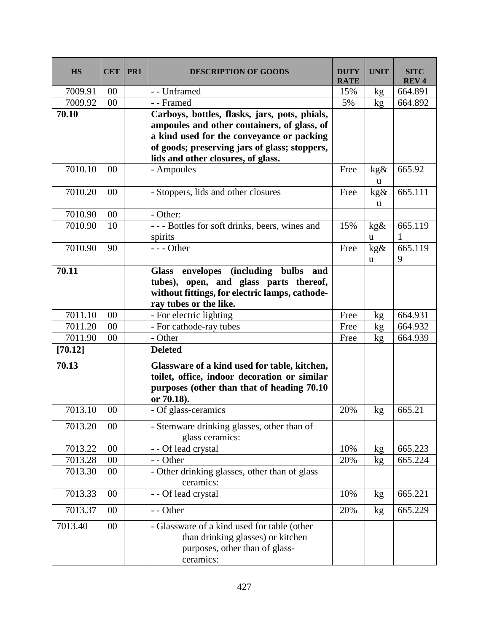| <b>HS</b> | <b>CET</b> | PR <sub>1</sub> | <b>DESCRIPTION OF GOODS</b>                                                                                                     | <b>DUTY</b><br><b>RATE</b> | <b>UNIT</b> | <b>SITC</b><br><b>REV4</b> |
|-----------|------------|-----------------|---------------------------------------------------------------------------------------------------------------------------------|----------------------------|-------------|----------------------------|
| 7009.91   | 00         |                 | - - Unframed                                                                                                                    | 15%                        | kg          | 664.891                    |
| 7009.92   | 00         |                 | - - Framed                                                                                                                      | 5%                         | kg          | 664.892                    |
| 70.10     |            |                 | Carboys, bottles, flasks, jars, pots, phials,                                                                                   |                            |             |                            |
|           |            |                 | ampoules and other containers, of glass, of                                                                                     |                            |             |                            |
|           |            |                 | a kind used for the conveyance or packing                                                                                       |                            |             |                            |
|           |            |                 | of goods; preserving jars of glass; stoppers,                                                                                   |                            |             |                            |
|           |            |                 | lids and other closures, of glass.                                                                                              |                            |             |                            |
| 7010.10   | 00         |                 | - Ampoules                                                                                                                      | Free                       | kg&<br>u    | 665.92                     |
| 7010.20   | 00         |                 | - Stoppers, lids and other closures                                                                                             | Free                       | kg&<br>u    | 665.111                    |
| 7010.90   | 00         |                 | - Other:                                                                                                                        |                            |             |                            |
| 7010.90   | 10         |                 | --- Bottles for soft drinks, beers, wines and                                                                                   | 15%                        | kg&         | 665.119                    |
|           |            |                 | spirits                                                                                                                         |                            | u           |                            |
| 7010.90   | 90         |                 | $--$ Other                                                                                                                      | Free                       | kg&         | 665.119                    |
|           |            |                 |                                                                                                                                 |                            | u           | 9                          |
| 70.11     |            |                 | Glass envelopes (including bulbs<br>and                                                                                         |                            |             |                            |
|           |            |                 | tubes), open, and glass parts thereof,                                                                                          |                            |             |                            |
|           |            |                 | without fittings, for electric lamps, cathode-                                                                                  |                            |             |                            |
|           |            |                 | ray tubes or the like.                                                                                                          |                            |             |                            |
| 7011.10   | 00         |                 | - For electric lighting                                                                                                         | Free                       | kg          | 664.931                    |
| 7011.20   | 00         |                 | - For cathode-ray tubes                                                                                                         | Free                       | kg          | 664.932                    |
| 7011.90   | 00         |                 | - Other                                                                                                                         | Free                       | kg          | 664.939                    |
| [70.12]   |            |                 | <b>Deleted</b>                                                                                                                  |                            |             |                            |
| 70.13     |            |                 | Glassware of a kind used for table, kitchen,                                                                                    |                            |             |                            |
|           |            |                 | toilet, office, indoor decoration or similar                                                                                    |                            |             |                            |
|           |            |                 | purposes (other than that of heading 70.10                                                                                      |                            |             |                            |
|           |            |                 | or 70.18).                                                                                                                      |                            |             |                            |
| 7013.10   | 00         |                 | - Of glass-ceramics                                                                                                             | 20%                        | kg          | 665.21                     |
| 7013.20   | 00         |                 | - Stemware drinking glasses, other than of<br>glass ceramics:                                                                   |                            |             |                            |
| 7013.22   | 00         |                 | - - Of lead crystal                                                                                                             | 10%                        | kg          | 665.223                    |
| 7013.28   | 00         |                 | - - Other                                                                                                                       | 20%                        | kg          | 665.224                    |
| 7013.30   | 00         |                 | - Other drinking glasses, other than of glass<br>ceramics:                                                                      |                            |             |                            |
| 7013.33   | 00         |                 | - - Of lead crystal                                                                                                             | 10%                        | kg          | 665.221                    |
| 7013.37   | 00         |                 | - - Other                                                                                                                       | 20%                        | kg          | 665.229                    |
| 7013.40   | 00         |                 | - Glassware of a kind used for table (other<br>than drinking glasses) or kitchen<br>purposes, other than of glass-<br>ceramics: |                            |             |                            |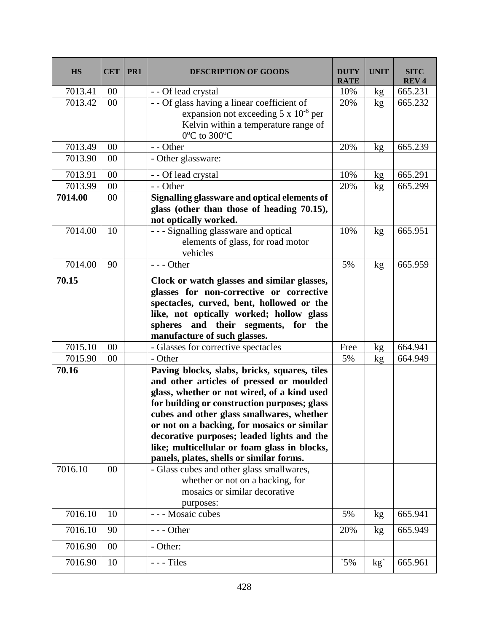| <b>HS</b> | <b>CET</b> | PR <sub>1</sub> | <b>DESCRIPTION OF GOODS</b>                                                                                                                                                                                                                                                                                                                                                                                                   | <b>DUTY</b><br><b>RATE</b> | <b>UNIT</b>   | <b>SITC</b><br><b>REV4</b> |
|-----------|------------|-----------------|-------------------------------------------------------------------------------------------------------------------------------------------------------------------------------------------------------------------------------------------------------------------------------------------------------------------------------------------------------------------------------------------------------------------------------|----------------------------|---------------|----------------------------|
| 7013.41   | 00         |                 | - - Of lead crystal                                                                                                                                                                                                                                                                                                                                                                                                           | 10%                        | kg            | 665.231                    |
| 7013.42   | 00         |                 | - - Of glass having a linear coefficient of<br>expansion not exceeding $5 \times 10^{-6}$ per<br>Kelvin within a temperature range of<br>0°C to 300°C                                                                                                                                                                                                                                                                         | 20%                        | kg            | 665.232                    |
| 7013.49   | 00         |                 | - - Other                                                                                                                                                                                                                                                                                                                                                                                                                     | 20%                        | kg            | 665.239                    |
| 7013.90   | 00         |                 | - Other glassware:                                                                                                                                                                                                                                                                                                                                                                                                            |                            |               |                            |
| 7013.91   | 00         |                 | - - Of lead crystal                                                                                                                                                                                                                                                                                                                                                                                                           | 10%                        | kg            | 665.291                    |
| 7013.99   | 00         |                 | - - Other                                                                                                                                                                                                                                                                                                                                                                                                                     | 20%                        | kg            | 665.299                    |
| 7014.00   | 00         |                 | Signalling glassware and optical elements of<br>glass (other than those of heading 70.15),<br>not optically worked.                                                                                                                                                                                                                                                                                                           |                            |               |                            |
| 7014.00   | 10         |                 | - - - Signalling glassware and optical<br>elements of glass, for road motor<br>vehicles                                                                                                                                                                                                                                                                                                                                       | 10%                        | kg            | 665.951                    |
| 7014.00   | 90         |                 | $--$ Other                                                                                                                                                                                                                                                                                                                                                                                                                    | 5%                         | kg            | 665.959                    |
| 70.15     |            |                 | Clock or watch glasses and similar glasses,<br>glasses for non-corrective or corrective<br>spectacles, curved, bent, hollowed or the<br>like, not optically worked; hollow glass<br>spheres and their segments, for the<br>manufacture of such glasses.                                                                                                                                                                       |                            |               |                            |
| 7015.10   | 00         |                 | - Glasses for corrective spectacles                                                                                                                                                                                                                                                                                                                                                                                           | Free                       | kg            | 664.941                    |
| 7015.90   | 00         |                 | - Other                                                                                                                                                                                                                                                                                                                                                                                                                       | 5%                         | kg            | 664.949                    |
| 70.16     |            |                 | Paving blocks, slabs, bricks, squares, tiles<br>and other articles of pressed or moulded<br>glass, whether or not wired, of a kind used<br>for building or construction purposes; glass<br>cubes and other glass smallwares, whether<br>or not on a backing, for mosaics or similar<br>decorative purposes; leaded lights and the<br>like; multicellular or foam glass in blocks,<br>panels, plates, shells or similar forms. |                            |               |                            |
| 7016.10   | 00         |                 | - Glass cubes and other glass smallwares,<br>whether or not on a backing, for<br>mosaics or similar decorative<br>purposes:                                                                                                                                                                                                                                                                                                   |                            |               |                            |
| 7016.10   | 10         |                 | - - - Mosaic cubes                                                                                                                                                                                                                                                                                                                                                                                                            | 5%                         | kg            | 665.941                    |
| 7016.10   | 90         |                 | $--$ Other                                                                                                                                                                                                                                                                                                                                                                                                                    | 20%                        | kg            | 665.949                    |
| 7016.90   | 00         |                 | - Other:                                                                                                                                                                                                                                                                                                                                                                                                                      |                            |               |                            |
| 7016.90   | 10         |                 | $--$ Tiles                                                                                                                                                                                                                                                                                                                                                                                                                    | $5\%$                      | $kg^{\prime}$ | 665.961                    |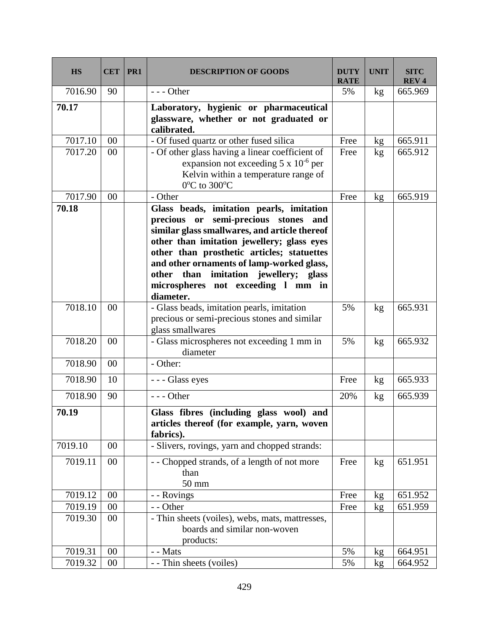| <b>HS</b> | <b>CET</b> | PR1 | <b>DESCRIPTION OF GOODS</b>                                                                                                                                                                                                                                                                                                                                            | <b>DUTY</b><br><b>RATE</b> | <b>UNIT</b> | <b>SITC</b><br><b>REV4</b> |
|-----------|------------|-----|------------------------------------------------------------------------------------------------------------------------------------------------------------------------------------------------------------------------------------------------------------------------------------------------------------------------------------------------------------------------|----------------------------|-------------|----------------------------|
| 7016.90   | 90         |     | $--$ Other                                                                                                                                                                                                                                                                                                                                                             | 5%                         | kg          | 665.969                    |
| 70.17     |            |     | Laboratory, hygienic or pharmaceutical<br>glassware, whether or not graduated or<br>calibrated.                                                                                                                                                                                                                                                                        |                            |             |                            |
| 7017.10   | 00         |     | - Of fused quartz or other fused silica                                                                                                                                                                                                                                                                                                                                | Free                       | kg          | 665.911                    |
| 7017.20   | 00         |     | - Of other glass having a linear coefficient of<br>expansion not exceeding $5 \times 10^{-6}$ per<br>Kelvin within a temperature range of<br>0°C to 300°C                                                                                                                                                                                                              | Free                       | kg          | 665.912                    |
| 7017.90   | 00         |     | - Other                                                                                                                                                                                                                                                                                                                                                                | Free                       | kg          | 665.919                    |
| 70.18     |            |     | Glass beads, imitation pearls, imitation<br>precious or semi-precious stones and<br>similar glass smallwares, and article thereof<br>other than imitation jewellery; glass eyes<br>other than prosthetic articles; statuettes<br>and other ornaments of lamp-worked glass,<br>other than imitation jewellery; glass<br>microspheres not exceeding 1 mm in<br>diameter. |                            |             |                            |
| 7018.10   | 00         |     | - Glass beads, imitation pearls, imitation<br>precious or semi-precious stones and similar<br>glass smallwares                                                                                                                                                                                                                                                         | 5%                         | kg          | 665.931                    |
| 7018.20   | 00         |     | - Glass microspheres not exceeding 1 mm in<br>diameter                                                                                                                                                                                                                                                                                                                 | 5%                         | kg          | 665.932                    |
| 7018.90   | 00         |     | - Other:                                                                                                                                                                                                                                                                                                                                                               |                            |             |                            |
| 7018.90   | 10         |     | --- Glass eyes                                                                                                                                                                                                                                                                                                                                                         | Free                       | kg          | 665.933                    |
| 7018.90   | 90         |     | $--$ Other                                                                                                                                                                                                                                                                                                                                                             | 20%                        | kg          | 665.939                    |
| 70.19     |            |     | Glass fibres (including glass wool) and<br>articles thereof (for example, yarn, woven<br>fabrics).                                                                                                                                                                                                                                                                     |                            |             |                            |
| 7019.10   | 00         |     | - Slivers, rovings, yarn and chopped strands:                                                                                                                                                                                                                                                                                                                          |                            |             |                            |
| 7019.11   | 00         |     | - - Chopped strands, of a length of not more<br>than<br>50 mm                                                                                                                                                                                                                                                                                                          | Free                       | kg          | 651.951                    |
| 7019.12   | $00\,$     |     | - - Rovings                                                                                                                                                                                                                                                                                                                                                            | Free                       | kg          | 651.952                    |
| 7019.19   | 00         |     | - - Other                                                                                                                                                                                                                                                                                                                                                              | Free                       | kg          | 651.959                    |
| 7019.30   | 00         |     | - Thin sheets (voiles), webs, mats, mattresses,<br>boards and similar non-woven<br>products:                                                                                                                                                                                                                                                                           |                            |             |                            |
| 7019.31   | 00         |     | - - Mats                                                                                                                                                                                                                                                                                                                                                               | 5%                         | kg          | 664.951                    |
| 7019.32   | 00         |     | - - Thin sheets (voiles)                                                                                                                                                                                                                                                                                                                                               | 5%                         | kg          | 664.952                    |